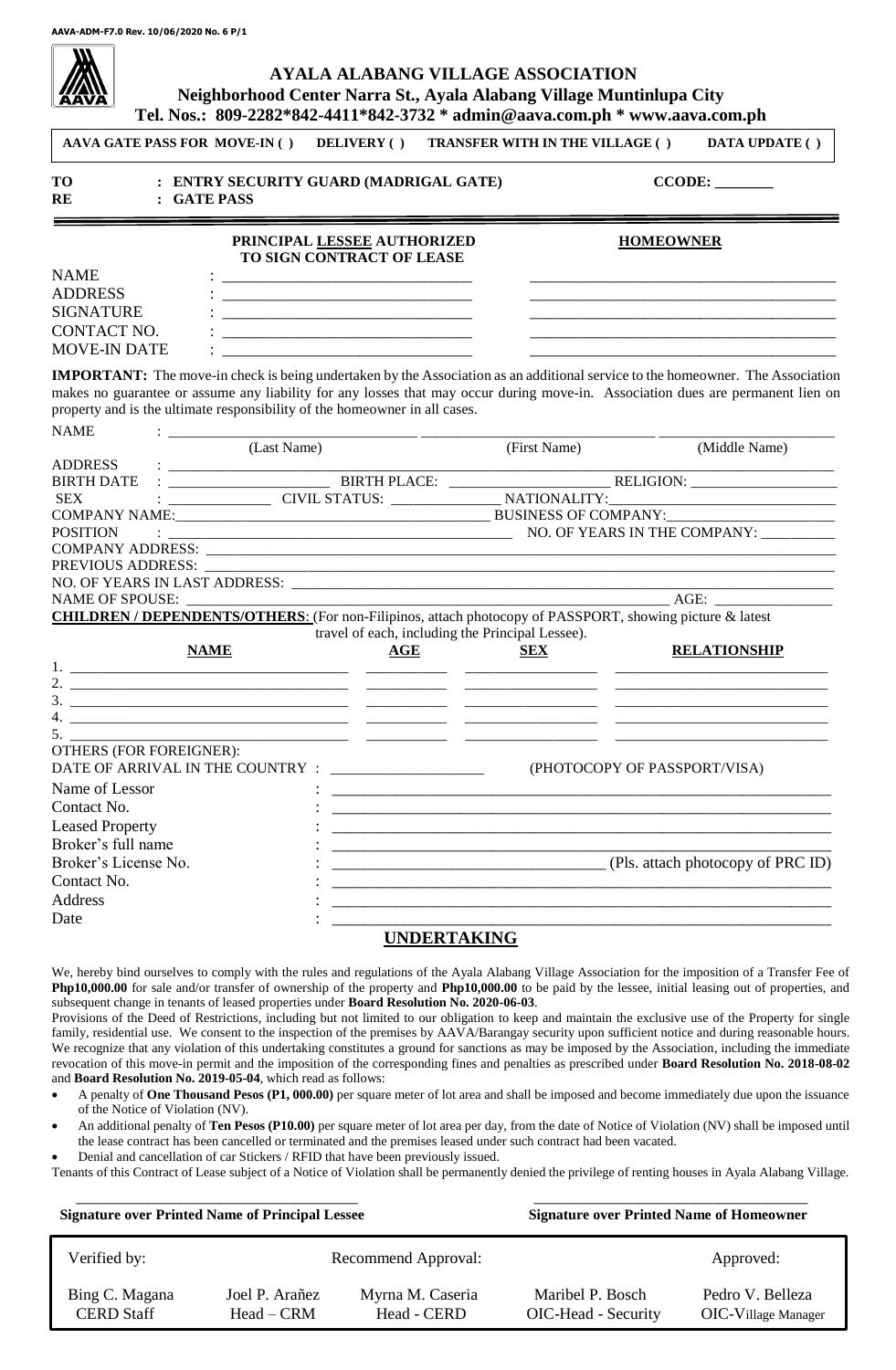# **AYALA ALABANG VILLAGE ASSOCIATION Neighborhood Center Narra St., Ayala Alabang Village Muntinlupa City**

|                                     |                                                            | Tel. Nos.: 809-2282*842-4411*842-3732 * admin@aava.com.ph * www.aava.com.ph                                           |                                                                                                                       |                                                                                                                                       |  |
|-------------------------------------|------------------------------------------------------------|-----------------------------------------------------------------------------------------------------------------------|-----------------------------------------------------------------------------------------------------------------------|---------------------------------------------------------------------------------------------------------------------------------------|--|
| <b>AAVA GATE PASS FOR MOVE-IN()</b> |                                                            | <b>DELIVERY</b> ( )                                                                                                   | <b>TRANSFER WITH IN THE VILLAGE ()</b>                                                                                | <b>DATA UPDATE ()</b>                                                                                                                 |  |
| <b>TO</b><br>RE                     | : GATE PASS                                                | : ENTRY SECURITY GUARD (MADRIGAL GATE)                                                                                |                                                                                                                       |                                                                                                                                       |  |
|                                     |                                                            | PRINCIPAL LESSEE AUTHORIZED<br>TO SIGN CONTRACT OF LEASE                                                              |                                                                                                                       | <b>HOMEOWNER</b>                                                                                                                      |  |
| <b>NAME</b>                         |                                                            | <u> 2000 - Jan Barnett, fransk politiker (d. 1982)</u>                                                                |                                                                                                                       |                                                                                                                                       |  |
| <b>ADDRESS</b>                      |                                                            |                                                                                                                       |                                                                                                                       |                                                                                                                                       |  |
| <b>SIGNATURE</b>                    |                                                            |                                                                                                                       |                                                                                                                       |                                                                                                                                       |  |
| CONTACT NO.                         |                                                            |                                                                                                                       |                                                                                                                       |                                                                                                                                       |  |
| <b>MOVE-IN DATE</b>                 |                                                            |                                                                                                                       |                                                                                                                       |                                                                                                                                       |  |
|                                     |                                                            |                                                                                                                       |                                                                                                                       | <b>IMPORTANT:</b> The move-in check is being undertaken by the Association as an additional service to the homeowner. The Association |  |
|                                     |                                                            |                                                                                                                       |                                                                                                                       | makes no guarantee or assume any liability for any losses that may occur during move-in. Association dues are permanent lien on       |  |
|                                     |                                                            | property and is the ultimate responsibility of the homeowner in all cases.                                            |                                                                                                                       |                                                                                                                                       |  |
| <b>NAME</b>                         |                                                            |                                                                                                                       |                                                                                                                       |                                                                                                                                       |  |
|                                     | (Last Name)                                                |                                                                                                                       | (First Name)                                                                                                          | (Middle Name)                                                                                                                         |  |
| <b>ADDRESS</b>                      | <u> Alexandria de la contexta de la contexta de la con</u> |                                                                                                                       |                                                                                                                       |                                                                                                                                       |  |
| <b>BIRTH DATE</b>                   |                                                            |                                                                                                                       |                                                                                                                       |                                                                                                                                       |  |
| <b>SEX</b>                          |                                                            |                                                                                                                       |                                                                                                                       |                                                                                                                                       |  |
|                                     |                                                            |                                                                                                                       |                                                                                                                       |                                                                                                                                       |  |
| <b>POSITION</b>                     |                                                            |                                                                                                                       |                                                                                                                       |                                                                                                                                       |  |
|                                     |                                                            |                                                                                                                       |                                                                                                                       |                                                                                                                                       |  |
|                                     |                                                            |                                                                                                                       |                                                                                                                       |                                                                                                                                       |  |
| <b>NAME OF SPOUSE:</b>              |                                                            |                                                                                                                       |                                                                                                                       |                                                                                                                                       |  |
|                                     |                                                            |                                                                                                                       |                                                                                                                       | <b>CHILDREN / DEPENDENTS/OTHERS:</b> (For non-Filipinos, attach photocopy of PASSPORT, showing picture & latest                       |  |
|                                     |                                                            | travel of each, including the Principal Lessee).                                                                      |                                                                                                                       |                                                                                                                                       |  |
|                                     | <b>NAME</b>                                                | <b>AGE</b>                                                                                                            | <b>SEX</b>                                                                                                            | <b>RELATIONSHIP</b>                                                                                                                   |  |
|                                     |                                                            |                                                                                                                       |                                                                                                                       |                                                                                                                                       |  |
|                                     |                                                            |                                                                                                                       |                                                                                                                       |                                                                                                                                       |  |
|                                     |                                                            |                                                                                                                       |                                                                                                                       |                                                                                                                                       |  |
|                                     |                                                            |                                                                                                                       |                                                                                                                       |                                                                                                                                       |  |
| <b>OTHERS (FOR FOREIGNER):</b>      |                                                            | <u> 1980 - Johann Barn, mars ann an t-Amhainn an t-Amhainn an t-Amhainn an t-Amhainn an t-Amhainn an t-Amhainn an</u> |                                                                                                                       |                                                                                                                                       |  |
| DATE OF ARRIVAL IN THE COUNTRY      |                                                            | the control of the control of the control of the control of the control of                                            |                                                                                                                       | (PHOTOCOPY OF PASSPORT/VISA)                                                                                                          |  |
| Name of Lessor                      |                                                            |                                                                                                                       |                                                                                                                       |                                                                                                                                       |  |
| Contact No.                         |                                                            |                                                                                                                       |                                                                                                                       |                                                                                                                                       |  |
| <b>Leased Property</b>              |                                                            |                                                                                                                       |                                                                                                                       | <u> 1989 - Johann John Stone, market fan de Fryske kun fan de fan de fan de fan de fan de fan de fan de fan de fa</u>                 |  |
| Broker's full name                  |                                                            |                                                                                                                       | <u> 1989 - Johann Harry Harry Harry Harry Harry Harry Harry Harry Harry Harry Harry Harry Harry Harry Harry Harry</u> |                                                                                                                                       |  |
| Broker's License No.                |                                                            |                                                                                                                       |                                                                                                                       |                                                                                                                                       |  |
|                                     |                                                            |                                                                                                                       |                                                                                                                       | (Pls. attach photocopy of PRC ID)                                                                                                     |  |
| Contact No.                         |                                                            |                                                                                                                       |                                                                                                                       |                                                                                                                                       |  |
| Address                             |                                                            |                                                                                                                       |                                                                                                                       |                                                                                                                                       |  |
| Date                                |                                                            |                                                                                                                       |                                                                                                                       |                                                                                                                                       |  |
|                                     |                                                            | <b>UNDERTAKING</b>                                                                                                    |                                                                                                                       |                                                                                                                                       |  |

## We, hereby bind ourselves to comply with the rules and regulations of the Ayala Alabang Village Association for the imposition of a Transfer Fee of **Php10,000.00** for sale and/or transfer of ownership of the property and **Php10,000.00** to be paid by the lessee, initial leasing out of properties, and

subsequent change in tenants of leased properties under **Board Resolution No. 2020-06-03**. Provisions of the Deed of Restrictions, including but not limited to our obligation to keep and maintain the exclusive use of the Property for single family, residential use. We consent to the inspection of the premises by AAVA/Barangay security upon sufficient notice and during reasonable hours. We recognize that any violation of this undertaking constitutes a ground for sanctions as may be imposed by the Association, including the immediate revocation of this move-in permit and the imposition of the corresponding fines and penalties as prescribed under **Board Resolution No. 2018-08-02** and **Board Resolution No. 2019-05-04**, which read as follows:

- A penalty of **One Thousand Pesos (P1, 000.00)** per square meter of lot area and shall be imposed and become immediately due upon the issuance of the Notice of Violation (NV).
- An additional penalty of **Ten Pesos (P10.00)** per square meter of lot area per day, from the date of Notice of Violation (NV) shall be imposed until the lease contract has been cancelled or terminated and the premises leased under such contract had been vacated.
- Denial and cancellation of car Stickers / RFID that have been previously issued.

Tenants of this Contract of Lease subject of a Notice of Violation shall be permanently denied the privilege of renting houses in Ayala Alabang Village.

\_\_\_\_\_\_\_\_\_\_\_\_\_\_\_\_\_\_\_\_\_\_\_\_\_\_\_\_\_\_\_\_\_\_\_ \_\_\_\_\_\_\_\_\_\_\_\_\_\_\_\_\_\_\_\_\_\_\_\_\_\_\_\_\_\_\_\_\_\_

|                                     | <b>Signature over Printed Name of Principal Lessee</b> |                                 | <b>Signature over Printed Name of Homeowner</b> |                                                |
|-------------------------------------|--------------------------------------------------------|---------------------------------|-------------------------------------------------|------------------------------------------------|
| Verified by:                        |                                                        | Recommend Approval:             |                                                 | Approved:                                      |
| Bing C. Magana<br><b>CERD</b> Staff | Joel P. Arañez<br>$Head - CRM$                         | Myrna M. Caseria<br>Head - CERD | Maribel P. Bosch<br>OIC-Head - Security         | Pedro V. Belleza<br><b>OIC-Village Manager</b> |